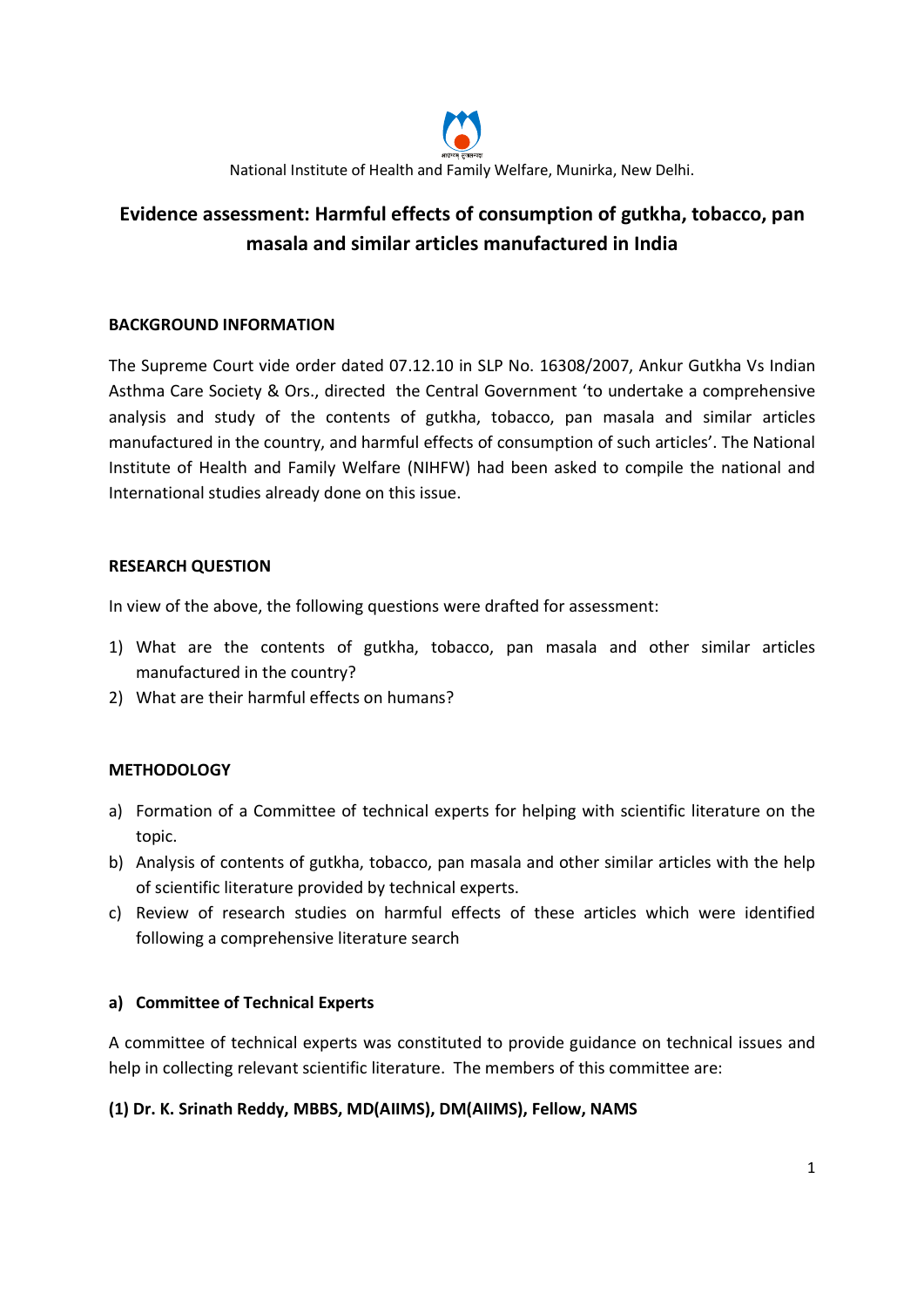

# Evidence assessment: Harmful effects of consumption of gutkha, tobacco, pan masala and similar articles manufactured in India

# BACKGROUND INFORMATION

The Supreme Court vide order dated 07.12.10 in SLP No. 16308/2007, Ankur Gutkha Vs Indian Asthma Care Society & Ors., directed the Central Government 'to undertake a comprehensive analysis and study of the contents of gutkha, tobacco, pan masala and similar articles manufactured in the country, and harmful effects of consumption of such articles'. The National Institute of Health and Family Welfare (NIHFW) had been asked to compile the national and International studies already done on this issue.

# RESEARCH QUESTION

In view of the above, the following questions were drafted for assessment:

- 1) What are the contents of gutkha, tobacco, pan masala and other similar articles manufactured in the country?
- 2) What are their harmful effects on humans?

# **METHODOLOGY**

- a) Formation of a Committee of technical experts for helping with scientific literature on the topic.
- b) Analysis of contents of gutkha, tobacco, pan masala and other similar articles with the help of scientific literature provided by technical experts.
- c) Review of research studies on harmful effects of these articles which were identified following a comprehensive literature search

# a) Committee of Technical Experts

A committee of technical experts was constituted to provide guidance on technical issues and help in collecting relevant scientific literature. The members of this committee are:

#### (1) Dr. K. Srinath Reddy, MBBS, MD(AIIMS), DM(AIIMS), Fellow, NAMS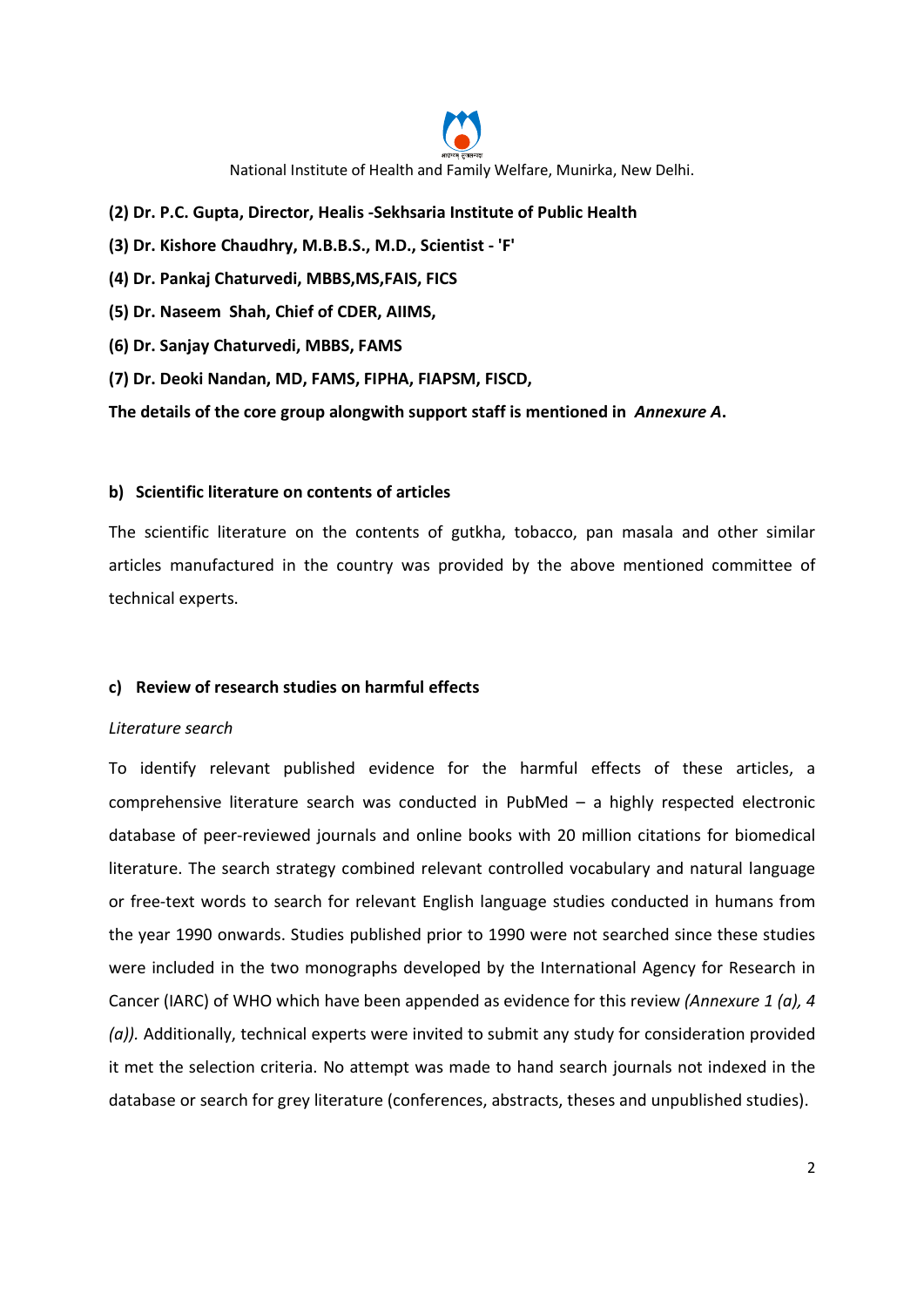

- (2) Dr. P.C. Gupta, Director, Healis -Sekhsaria Institute of Public Health
- (3) Dr. Kishore Chaudhry, M.B.B.S., M.D., Scientist 'F'
- (4) Dr. Pankaj Chaturvedi, MBBS,MS,FAIS, FICS
- (5) Dr. Naseem Shah, Chief of CDER, AIIMS,
- (6) Dr. Sanjay Chaturvedi, MBBS, FAMS
- (7) Dr. Deoki Nandan, MD, FAMS, FIPHA, FIAPSM, FISCD,

The details of the core group alongwith support staff is mentioned in Annexure A.

#### b) Scientific literature on contents of articles

The scientific literature on the contents of gutkha, tobacco, pan masala and other similar articles manufactured in the country was provided by the above mentioned committee of technical experts.

#### c) Review of research studies on harmful effects

#### Literature search

To identify relevant published evidence for the harmful effects of these articles, a comprehensive literature search was conducted in PubMed – a highly respected electronic database of peer-reviewed journals and online books with 20 million citations for biomedical literature. The search strategy combined relevant controlled vocabulary and natural language or free-text words to search for relevant English language studies conducted in humans from the year 1990 onwards. Studies published prior to 1990 were not searched since these studies were included in the two monographs developed by the International Agency for Research in Cancer (IARC) of WHO which have been appended as evidence for this review (Annexure 1 (a), 4 (a)). Additionally, technical experts were invited to submit any study for consideration provided it met the selection criteria. No attempt was made to hand search journals not indexed in the database or search for grey literature (conferences, abstracts, theses and unpublished studies).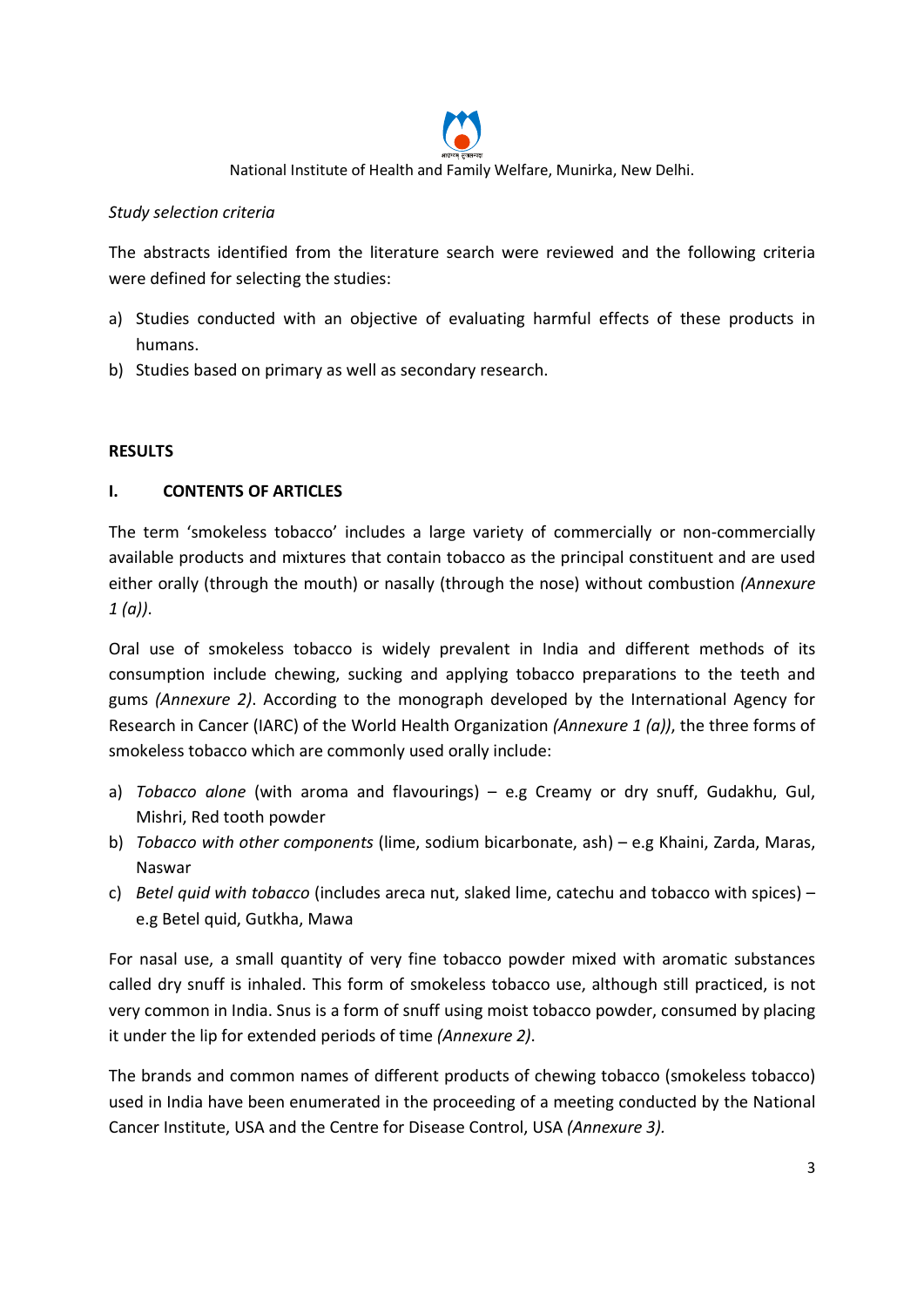

### Study selection criteria

The abstracts identified from the literature search were reviewed and the following criteria were defined for selecting the studies:

- a) Studies conducted with an objective of evaluating harmful effects of these products in humans.
- b) Studies based on primary as well as secondary research.

#### **RESULTS**

# I. CONTENTS OF ARTICLES

The term 'smokeless tobacco' includes a large variety of commercially or non-commercially available products and mixtures that contain tobacco as the principal constituent and are used either orally (through the mouth) or nasally (through the nose) without combustion (Annexure  $1 (a)$ ).

Oral use of smokeless tobacco is widely prevalent in India and different methods of its consumption include chewing, sucking and applying tobacco preparations to the teeth and gums (Annexure 2). According to the monograph developed by the International Agency for Research in Cancer (IARC) of the World Health Organization (Annexure 1 (a)), the three forms of smokeless tobacco which are commonly used orally include:

- a) Tobacco alone (with aroma and flavourings)  $-$  e.g Creamy or dry snuff, Gudakhu, Gul, Mishri, Red tooth powder
- b) Tobacco with other components (lime, sodium bicarbonate, ash) e.g Khaini, Zarda, Maras, Naswar
- c) Betel quid with tobacco (includes areca nut, slaked lime, catechu and tobacco with spices) e.g Betel quid, Gutkha, Mawa

For nasal use, a small quantity of very fine tobacco powder mixed with aromatic substances called dry snuff is inhaled. This form of smokeless tobacco use, although still practiced, is not very common in India. Snus is a form of snuff using moist tobacco powder, consumed by placing it under the lip for extended periods of time (Annexure 2).

The brands and common names of different products of chewing tobacco (smokeless tobacco) used in India have been enumerated in the proceeding of a meeting conducted by the National Cancer Institute, USA and the Centre for Disease Control, USA (Annexure 3).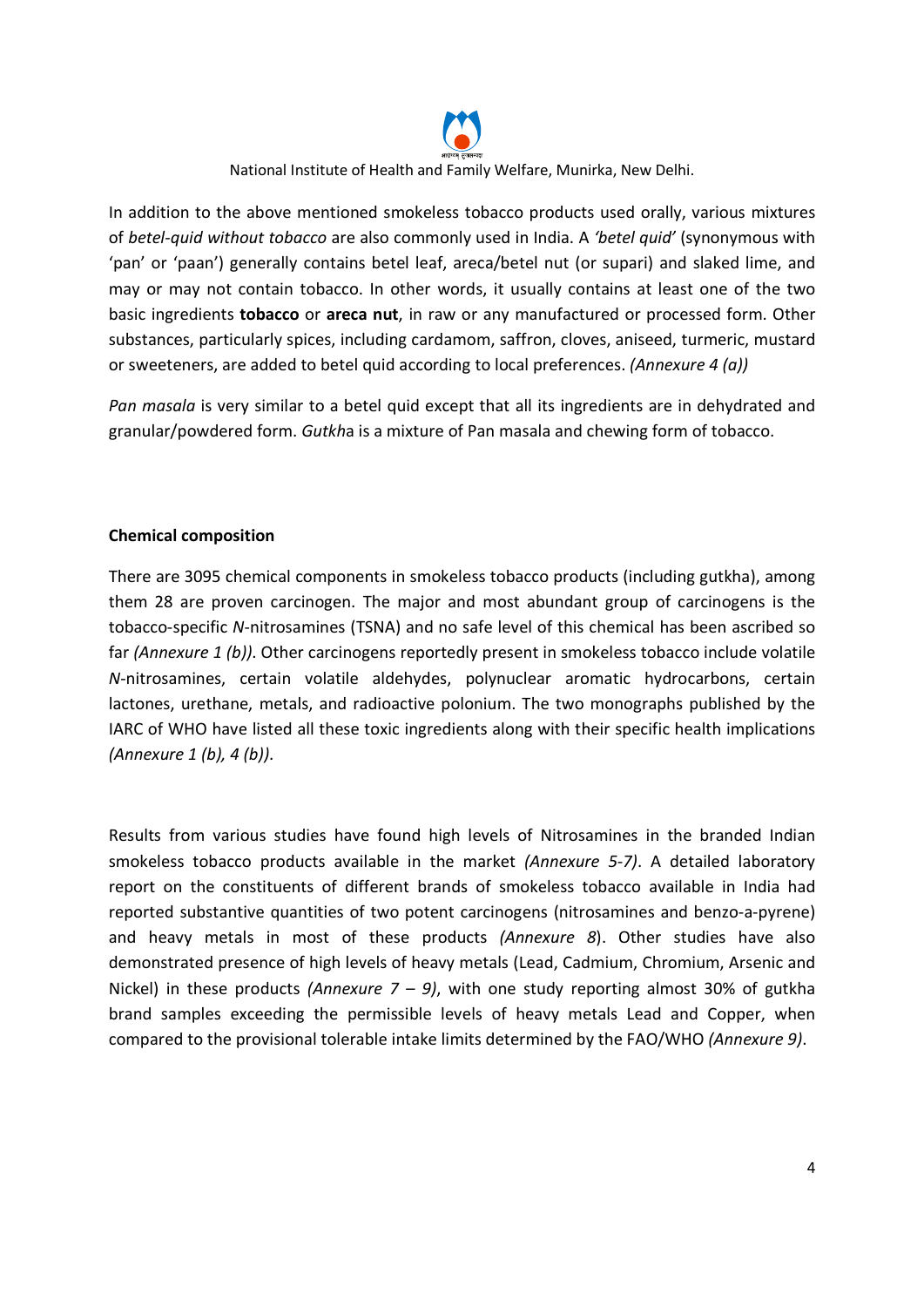

In addition to the above mentioned smokeless tobacco products used orally, various mixtures of betel-quid without tobacco are also commonly used in India. A 'betel quid' (synonymous with 'pan' or 'paan') generally contains betel leaf, areca/betel nut (or supari) and slaked lime, and may or may not contain tobacco. In other words, it usually contains at least one of the two basic ingredients tobacco or areca nut, in raw or any manufactured or processed form. Other substances, particularly spices, including cardamom, saffron, cloves, aniseed, turmeric, mustard or sweeteners, are added to betel quid according to local preferences. (Annexure 4 (a))

Pan masala is very similar to a betel quid except that all its ingredients are in dehydrated and granular/powdered form. Gutkha is a mixture of Pan masala and chewing form of tobacco.

#### Chemical composition

There are 3095 chemical components in smokeless tobacco products (including gutkha), among them 28 are proven carcinogen. The major and most abundant group of carcinogens is the tobacco-specific N-nitrosamines (TSNA) and no safe level of this chemical has been ascribed so far (Annexure 1 (b)). Other carcinogens reportedly present in smokeless tobacco include volatile N-nitrosamines, certain volatile aldehydes, polynuclear aromatic hydrocarbons, certain lactones, urethane, metals, and radioactive polonium. The two monographs published by the IARC of WHO have listed all these toxic ingredients along with their specific health implications  $(Annexure 1 (b), 4 (b)).$ 

Results from various studies have found high levels of Nitrosamines in the branded Indian smokeless tobacco products available in the market (Annexure 5-7). A detailed laboratory report on the constituents of different brands of smokeless tobacco available in India had reported substantive quantities of two potent carcinogens (nitrosamines and benzo-a-pyrene) and heavy metals in most of these products (Annexure 8). Other studies have also demonstrated presence of high levels of heavy metals (Lead, Cadmium, Chromium, Arsenic and Nickel) in these products (Annexure  $7 - 9$ ), with one study reporting almost 30% of gutkha brand samples exceeding the permissible levels of heavy metals Lead and Copper, when compared to the provisional tolerable intake limits determined by the FAO/WHO (Annexure 9).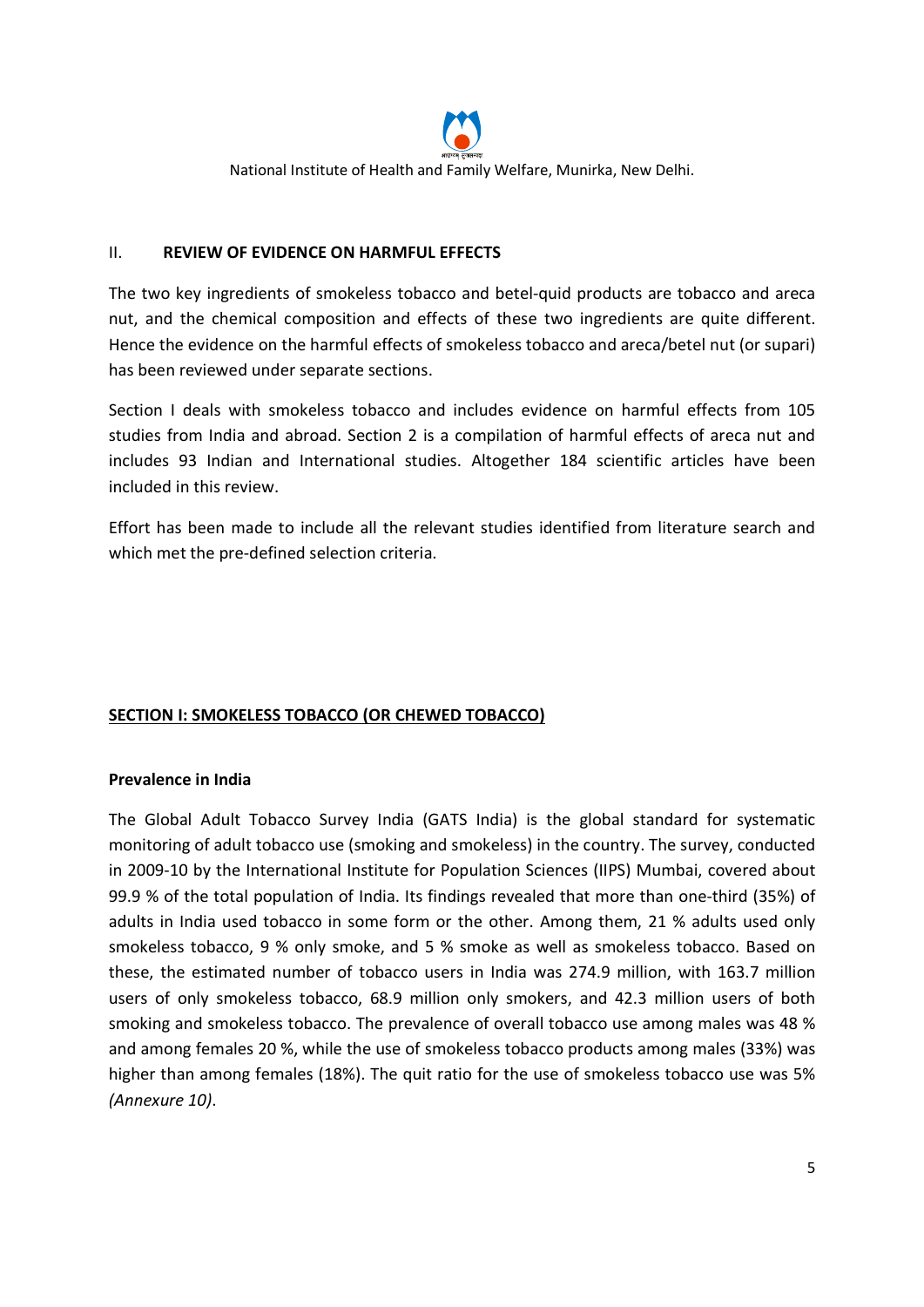

#### II. REVIEW OF EVIDENCE ON HARMFUL EFFECTS

The two key ingredients of smokeless tobacco and betel-quid products are tobacco and areca nut, and the chemical composition and effects of these two ingredients are quite different. Hence the evidence on the harmful effects of smokeless tobacco and areca/betel nut (or supari) has been reviewed under separate sections.

Section I deals with smokeless tobacco and includes evidence on harmful effects from 105 studies from India and abroad. Section 2 is a compilation of harmful effects of areca nut and includes 93 Indian and International studies. Altogether 184 scientific articles have been included in this review.

Effort has been made to include all the relevant studies identified from literature search and which met the pre-defined selection criteria.

# SECTION I: SMOKELESS TOBACCO (OR CHEWED TOBACCO)

#### Prevalence in India

The Global Adult Tobacco Survey India (GATS India) is the global standard for systematic monitoring of adult tobacco use (smoking and smokeless) in the country. The survey, conducted in 2009-10 by the International Institute for Population Sciences (IIPS) Mumbai, covered about 99.9 % of the total population of India. Its findings revealed that more than one-third (35%) of adults in India used tobacco in some form or the other. Among them, 21 % adults used only smokeless tobacco, 9 % only smoke, and 5 % smoke as well as smokeless tobacco. Based on these, the estimated number of tobacco users in India was 274.9 million, with 163.7 million users of only smokeless tobacco, 68.9 million only smokers, and 42.3 million users of both smoking and smokeless tobacco. The prevalence of overall tobacco use among males was 48 % and among females 20 %, while the use of smokeless tobacco products among males (33%) was higher than among females (18%). The quit ratio for the use of smokeless tobacco use was 5% (Annexure 10).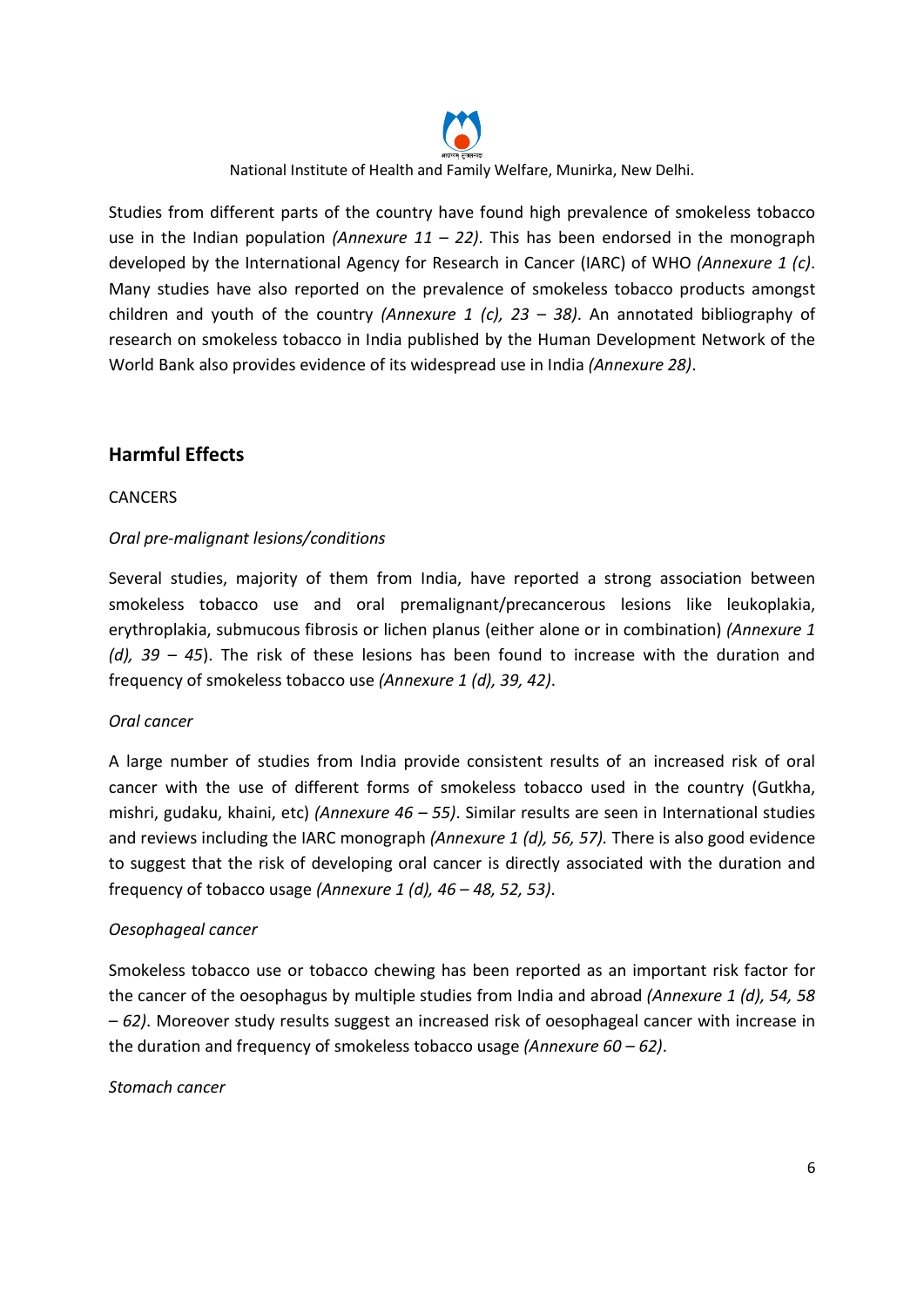

Studies from different parts of the country have found high prevalence of smokeless tobacco use in the Indian population (Annexure  $11 - 22$ ). This has been endorsed in the monograph developed by the International Agency for Research in Cancer (IARC) of WHO (Annexure 1 (c). Many studies have also reported on the prevalence of smokeless tobacco products amongst children and youth of the country (Annexure 1 (c),  $23 - 38$ ). An annotated bibliography of research on smokeless tobacco in India published by the Human Development Network of the World Bank also provides evidence of its widespread use in India (Annexure 28).

# Harmful Effects

#### CANCERS

#### Oral pre-malignant lesions/conditions

Several studies, majority of them from India, have reported a strong association between smokeless tobacco use and oral premalignant/precancerous lesions like leukoplakia, erythroplakia, submucous fibrosis or lichen planus (either alone or in combination) (Annexure 1 (d),  $39 - 45$ ). The risk of these lesions has been found to increase with the duration and frequency of smokeless tobacco use (Annexure 1 (d), 39, 42).

#### Oral cancer

A large number of studies from India provide consistent results of an increased risk of oral cancer with the use of different forms of smokeless tobacco used in the country (Gutkha, mishri, gudaku, khaini, etc) (Annexure  $46 - 55$ ). Similar results are seen in International studies and reviews including the IARC monograph (Annexure 1 (d), 56, 57). There is also good evidence to suggest that the risk of developing oral cancer is directly associated with the duration and frequency of tobacco usage (Annexure 1 (d),  $46 - 48$ , 52, 53).

#### Oesophageal cancer

Smokeless tobacco use or tobacco chewing has been reported as an important risk factor for the cancer of the oesophagus by multiple studies from India and abroad (Annexure 1 (d), 54, 58 – 62). Moreover study results suggest an increased risk of oesophageal cancer with increase in the duration and frequency of smokeless tobacco usage (Annexure  $60 - 62$ ).

#### Stomach cancer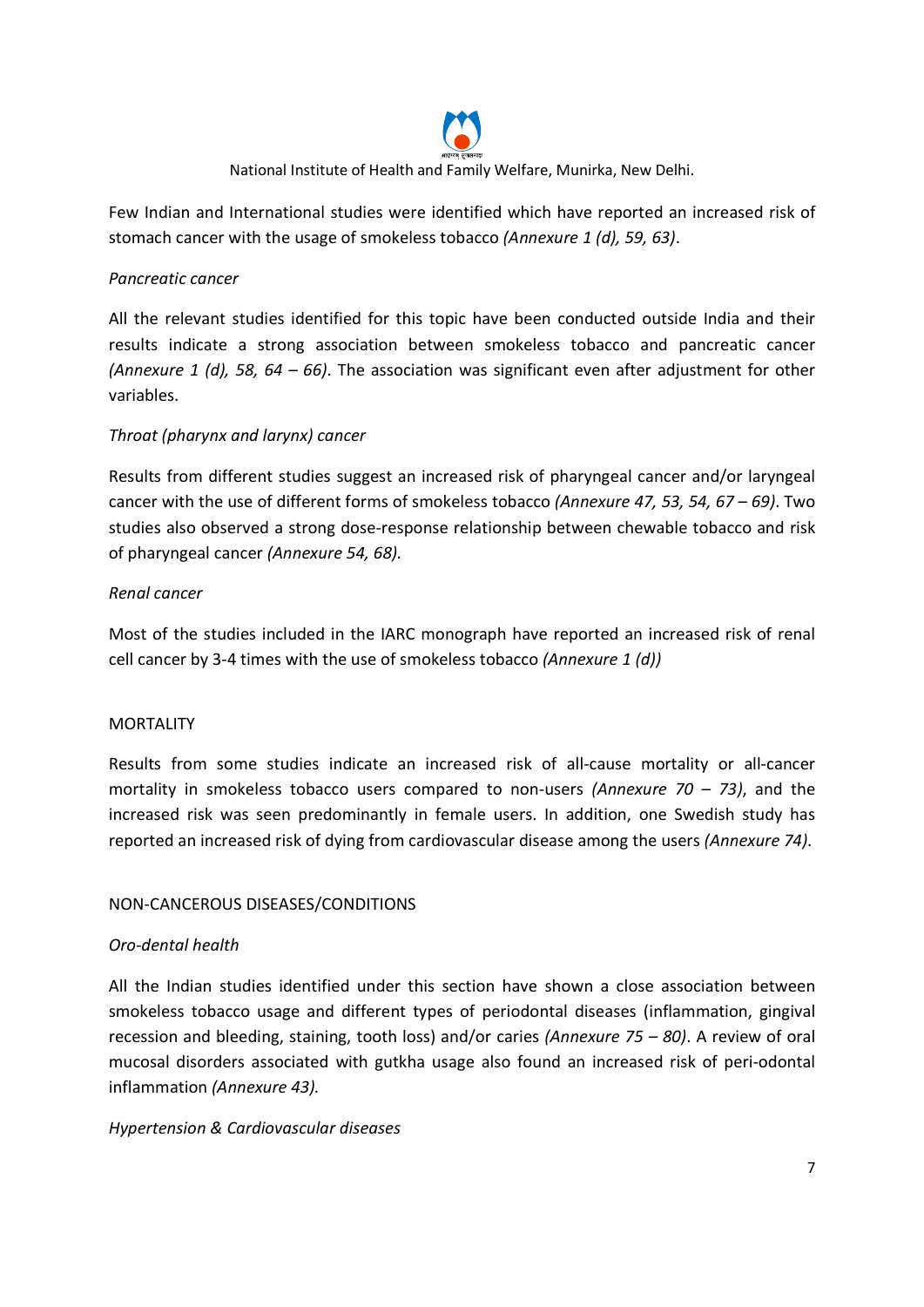

Few Indian and International studies were identified which have reported an increased risk of stomach cancer with the usage of smokeless tobacco (Annexure 1 (d), 59, 63).

#### Pancreatic cancer

All the relevant studies identified for this topic have been conducted outside India and their results indicate a strong association between smokeless tobacco and pancreatic cancer (Annexure 1 (d), 58, 64 – 66). The association was significant even after adjustment for other variables.

# Throat (pharynx and larynx) cancer

Results from different studies suggest an increased risk of pharyngeal cancer and/or laryngeal cancer with the use of different forms of smokeless tobacco (Annexure 47, 53, 54, 67 – 69). Two studies also observed a strong dose-response relationship between chewable tobacco and risk of pharyngeal cancer (Annexure 54, 68).

#### Renal cancer

Most of the studies included in the IARC monograph have reported an increased risk of renal cell cancer by 3-4 times with the use of smokeless tobacco (Annexure  $1(d)$ )

#### MORTALITY

Results from some studies indicate an increased risk of all-cause mortality or all-cancer mortality in smokeless tobacco users compared to non-users (Annexure 70 – 73), and the increased risk was seen predominantly in female users. In addition, one Swedish study has reported an increased risk of dying from cardiovascular disease among the users (Annexure 74).

#### NON-CANCEROUS DISEASES/CONDITIONS

#### Oro-dental health

All the Indian studies identified under this section have shown a close association between smokeless tobacco usage and different types of periodontal diseases (inflammation, gingival recession and bleeding, staining, tooth loss) and/or caries (Annexure 75 – 80). A review of oral mucosal disorders associated with gutkha usage also found an increased risk of peri-odontal inflammation (Annexure 43).

#### Hypertension & Cardiovascular diseases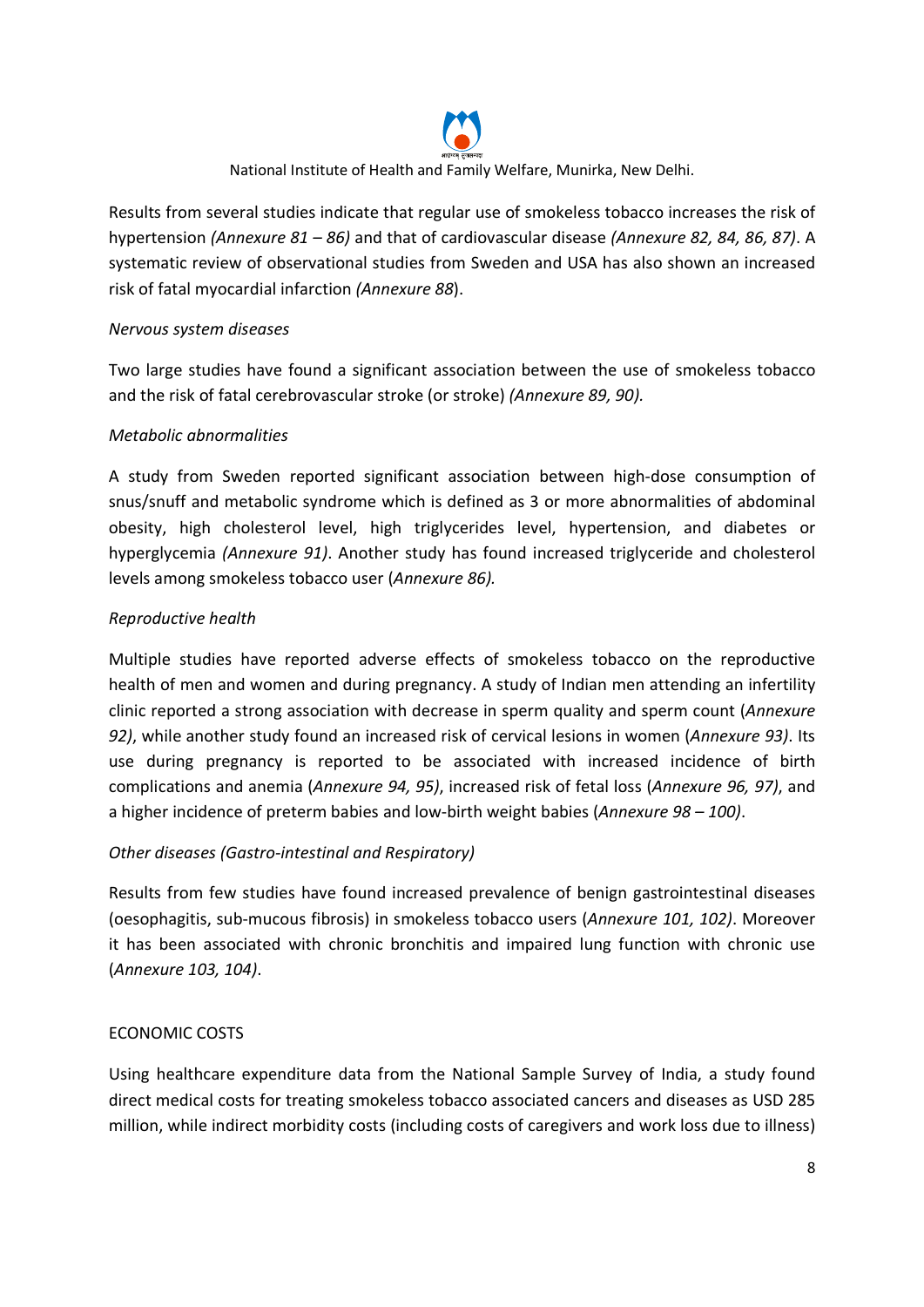

Results from several studies indicate that regular use of smokeless tobacco increases the risk of hypertension (Annexure 81 – 86) and that of cardiovascular disease (Annexure 82, 84, 86, 87). A systematic review of observational studies from Sweden and USA has also shown an increased risk of fatal myocardial infarction (Annexure 88).

# Nervous system diseases

Two large studies have found a significant association between the use of smokeless tobacco and the risk of fatal cerebrovascular stroke (or stroke) (Annexure 89, 90).

# Metabolic abnormalities

A study from Sweden reported significant association between high-dose consumption of snus/snuff and metabolic syndrome which is defined as 3 or more abnormalities of abdominal obesity, high cholesterol level, high triglycerides level, hypertension, and diabetes or hyperglycemia (Annexure 91). Another study has found increased triglyceride and cholesterol levels among smokeless tobacco user (Annexure 86).

# Reproductive health

Multiple studies have reported adverse effects of smokeless tobacco on the reproductive health of men and women and during pregnancy. A study of Indian men attending an infertility clinic reported a strong association with decrease in sperm quality and sperm count (Annexure 92), while another study found an increased risk of cervical lesions in women (Annexure 93). Its use during pregnancy is reported to be associated with increased incidence of birth complications and anemia (Annexure 94, 95), increased risk of fetal loss (Annexure 96, 97), and a higher incidence of preterm babies and low-birth weight babies (Annexure  $98 - 100$ ).

# Other diseases (Gastro-intestinal and Respiratory)

Results from few studies have found increased prevalence of benign gastrointestinal diseases (oesophagitis, sub-mucous fibrosis) in smokeless tobacco users (Annexure 101, 102). Moreover it has been associated with chronic bronchitis and impaired lung function with chronic use (Annexure 103, 104).

#### ECONOMIC COSTS

Using healthcare expenditure data from the National Sample Survey of India, a study found direct medical costs for treating smokeless tobacco associated cancers and diseases as USD 285 million, while indirect morbidity costs (including costs of caregivers and work loss due to illness)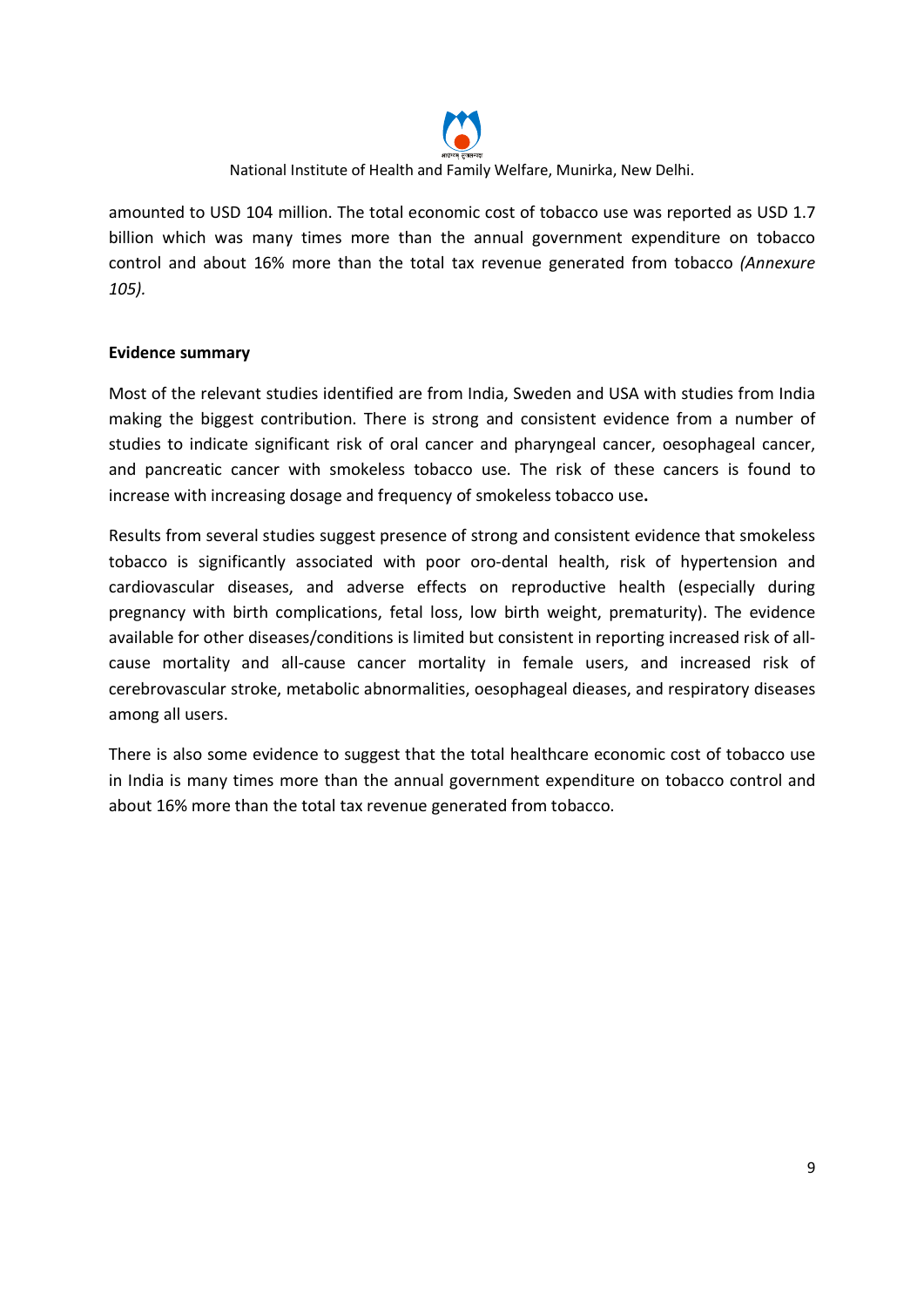

amounted to USD 104 million. The total economic cost of tobacco use was reported as USD 1.7 billion which was many times more than the annual government expenditure on tobacco control and about 16% more than the total tax revenue generated from tobacco (Annexure 105).

#### Evidence summary

Most of the relevant studies identified are from India, Sweden and USA with studies from India making the biggest contribution. There is strong and consistent evidence from a number of studies to indicate significant risk of oral cancer and pharyngeal cancer, oesophageal cancer, and pancreatic cancer with smokeless tobacco use. The risk of these cancers is found to increase with increasing dosage and frequency of smokeless tobacco use.

Results from several studies suggest presence of strong and consistent evidence that smokeless tobacco is significantly associated with poor oro-dental health, risk of hypertension and cardiovascular diseases, and adverse effects on reproductive health (especially during pregnancy with birth complications, fetal loss, low birth weight, prematurity). The evidence available for other diseases/conditions is limited but consistent in reporting increased risk of allcause mortality and all-cause cancer mortality in female users, and increased risk of cerebrovascular stroke, metabolic abnormalities, oesophageal dieases, and respiratory diseases among all users.

There is also some evidence to suggest that the total healthcare economic cost of tobacco use in India is many times more than the annual government expenditure on tobacco control and about 16% more than the total tax revenue generated from tobacco.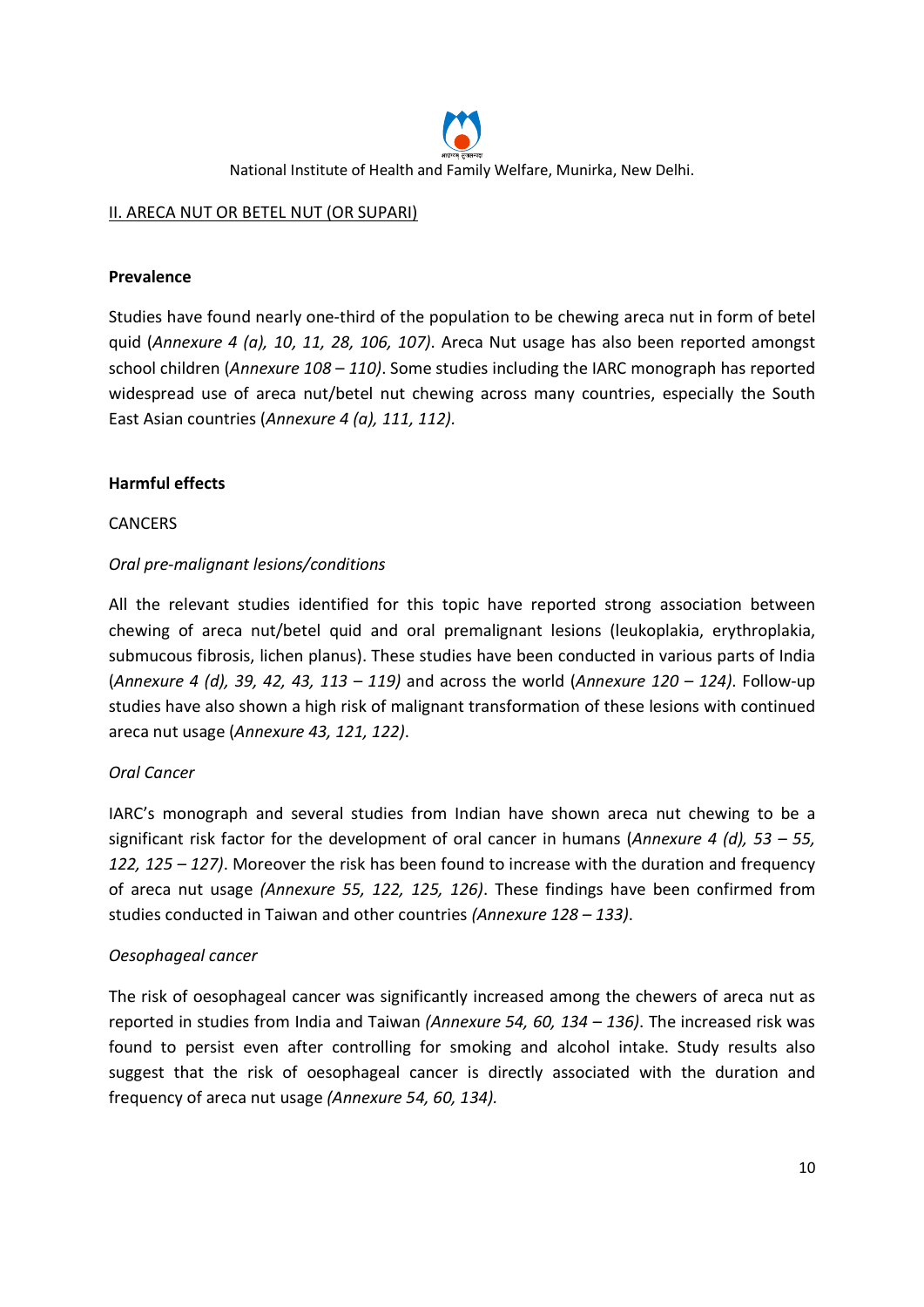

# II. ARECA NUT OR BETEL NUT (OR SUPARI)

### Prevalence

Studies have found nearly one-third of the population to be chewing areca nut in form of betel quid (Annexure 4 (a), 10, 11, 28, 106, 107). Areca Nut usage has also been reported amongst school children (Annexure  $108 - 110$ ). Some studies including the IARC monograph has reported widespread use of areca nut/betel nut chewing across many countries, especially the South East Asian countries (Annexure 4 (a), 111, 112).

# Harmful effects

#### **CANCERS**

# Oral pre-malignant lesions/conditions

All the relevant studies identified for this topic have reported strong association between chewing of areca nut/betel quid and oral premalignant lesions (leukoplakia, erythroplakia, submucous fibrosis, lichen planus). These studies have been conducted in various parts of India (Annexure 4 (d), 39, 42, 43, 113 – 119) and across the world (Annexure 120 – 124). Follow-up studies have also shown a high risk of malignant transformation of these lesions with continued areca nut usage (Annexure 43, 121, 122).

#### Oral Cancer

IARC's monograph and several studies from Indian have shown areca nut chewing to be a significant risk factor for the development of oral cancer in humans (Annexure 4 (d),  $53 - 55$ , 122, 125 – 127). Moreover the risk has been found to increase with the duration and frequency of areca nut usage (Annexure 55, 122, 125, 126). These findings have been confirmed from studies conducted in Taiwan and other countries (Annexure 128 – 133).

#### Oesophageal cancer

The risk of oesophageal cancer was significantly increased among the chewers of areca nut as reported in studies from India and Taiwan (Annexure 54, 60,  $134 - 136$ ). The increased risk was found to persist even after controlling for smoking and alcohol intake. Study results also suggest that the risk of oesophageal cancer is directly associated with the duration and frequency of areca nut usage (Annexure 54, 60, 134).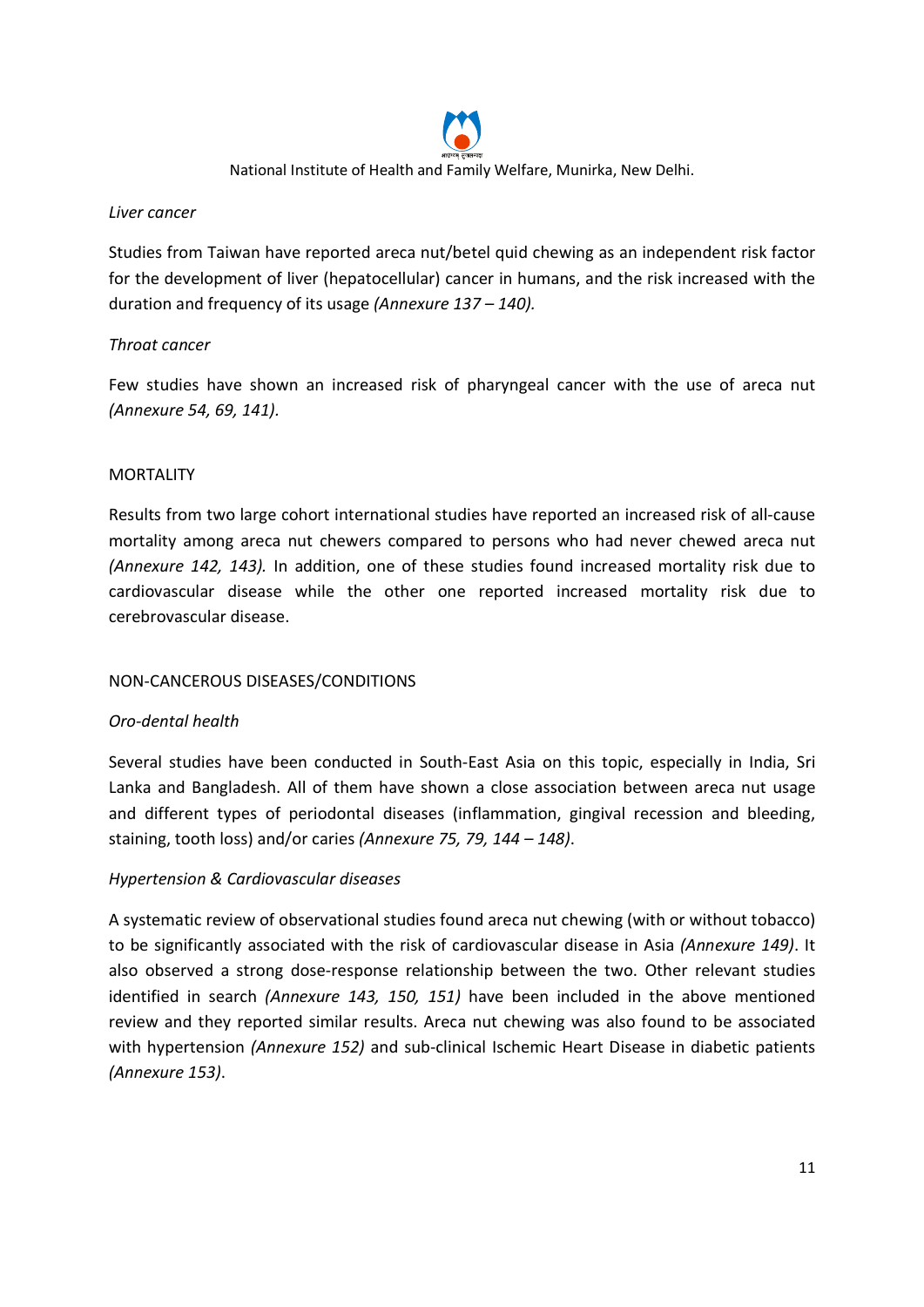

#### Liver cancer

Studies from Taiwan have reported areca nut/betel quid chewing as an independent risk factor for the development of liver (hepatocellular) cancer in humans, and the risk increased with the duration and frequency of its usage (Annexure 137 – 140).

# Throat cancer

Few studies have shown an increased risk of pharyngeal cancer with the use of areca nut (Annexure 54, 69, 141).

#### MORTALITY

Results from two large cohort international studies have reported an increased risk of all-cause mortality among areca nut chewers compared to persons who had never chewed areca nut (Annexure 142, 143). In addition, one of these studies found increased mortality risk due to cardiovascular disease while the other one reported increased mortality risk due to cerebrovascular disease.

#### NON-CANCEROUS DISEASES/CONDITIONS

#### Oro-dental health

Several studies have been conducted in South-East Asia on this topic, especially in India, Sri Lanka and Bangladesh. All of them have shown a close association between areca nut usage and different types of periodontal diseases (inflammation, gingival recession and bleeding, staining, tooth loss) and/or caries (Annexure 75, 79, 144 – 148).

#### Hypertension & Cardiovascular diseases

A systematic review of observational studies found areca nut chewing (with or without tobacco) to be significantly associated with the risk of cardiovascular disease in Asia (Annexure 149). It also observed a strong dose-response relationship between the two. Other relevant studies identified in search (Annexure 143, 150, 151) have been included in the above mentioned review and they reported similar results. Areca nut chewing was also found to be associated with hypertension (Annexure 152) and sub-clinical Ischemic Heart Disease in diabetic patients (Annexure 153).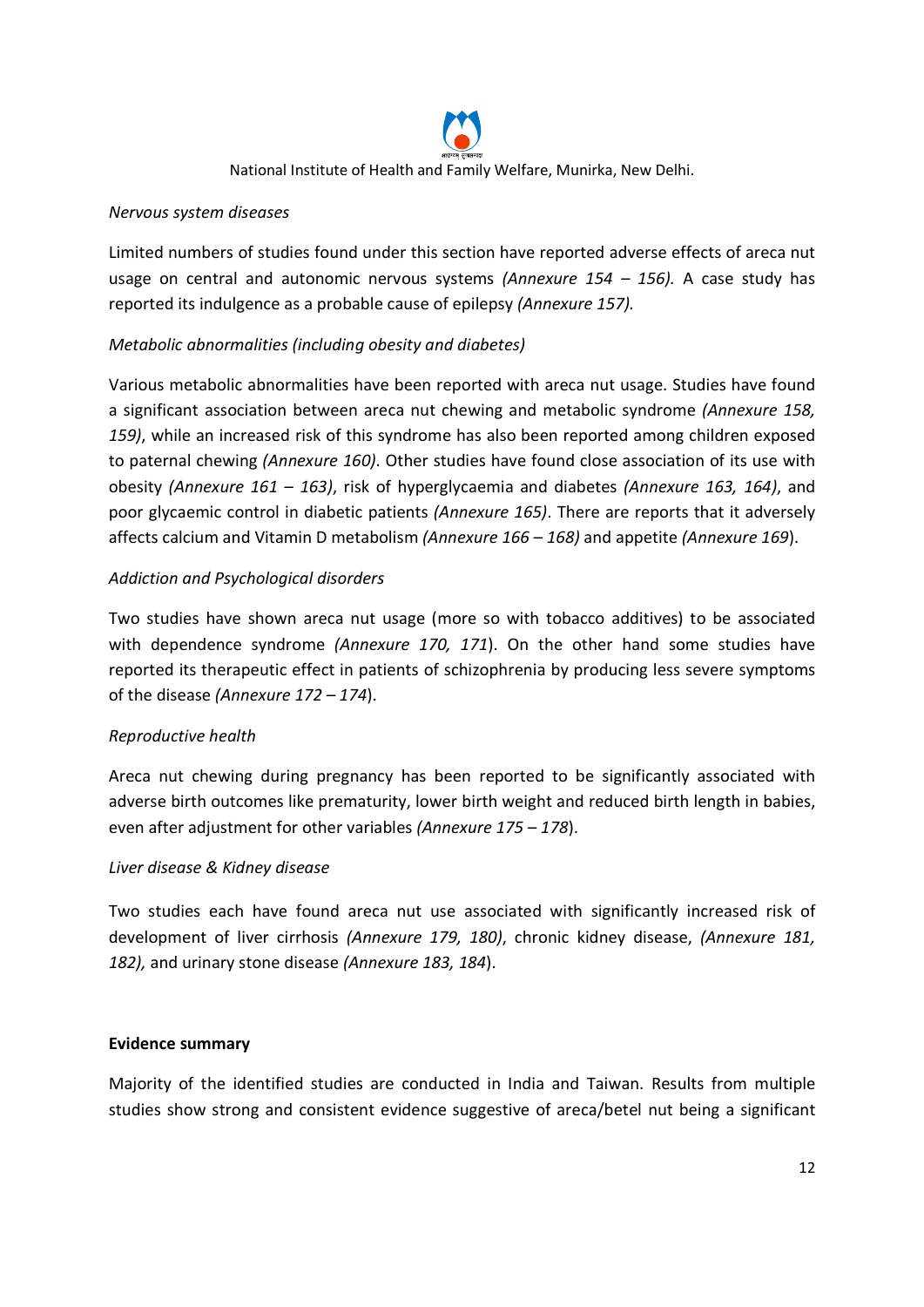

### Nervous system diseases

Limited numbers of studies found under this section have reported adverse effects of areca nut usage on central and autonomic nervous systems (Annexure  $154 - 156$ ). A case study has reported its indulgence as a probable cause of epilepsy (Annexure 157).

# Metabolic abnormalities (including obesity and diabetes)

Various metabolic abnormalities have been reported with areca nut usage. Studies have found a significant association between areca nut chewing and metabolic syndrome (Annexure 158, 159), while an increased risk of this syndrome has also been reported among children exposed to paternal chewing (Annexure 160). Other studies have found close association of its use with obesity (Annexure  $161 - 163$ ), risk of hyperglycaemia and diabetes (Annexure 163, 164), and poor glycaemic control in diabetic patients (Annexure 165). There are reports that it adversely affects calcium and Vitamin D metabolism (Annexure 166 – 168) and appetite (Annexure 169).

# Addiction and Psychological disorders

Two studies have shown areca nut usage (more so with tobacco additives) to be associated with dependence syndrome (Annexure 170, 171). On the other hand some studies have reported its therapeutic effect in patients of schizophrenia by producing less severe symptoms of the disease (Annexure 172 – 174).

#### Reproductive health

Areca nut chewing during pregnancy has been reported to be significantly associated with adverse birth outcomes like prematurity, lower birth weight and reduced birth length in babies, even after adjustment for other variables (Annexure 175 – 178).

#### Liver disease & Kidney disease

Two studies each have found areca nut use associated with significantly increased risk of development of liver cirrhosis (Annexure 179, 180), chronic kidney disease, (Annexure 181, 182), and urinary stone disease (Annexure 183, 184).

#### Evidence summary

Majority of the identified studies are conducted in India and Taiwan. Results from multiple studies show strong and consistent evidence suggestive of areca/betel nut being a significant